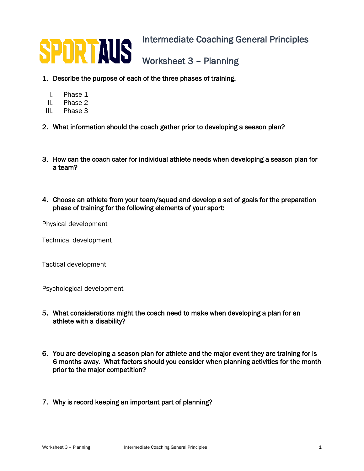

- 1. Describe the purpose of each of the three phases of training.
	- I. Phase 1
	- II. Phase 2
- III. Phase 3
- 2. What information should the coach gather prior to developing a season plan?
- 3. How can the coach cater for individual athlete needs when developing a season plan for a team?
- 4. Choose an athlete from your team/squad and develop a set of goals for the preparation phase of training for the following elements of your sport:

Physical development

Technical development

Tactical development

Psychological development

- 5. What considerations might the coach need to make when developing a plan for an athlete with a disability?
- 6. You are developing a season plan for athlete and the major event they are training for is 6 months away. What factors should you consider when planning activities for the month prior to the major competition?
- 7. Why is record keeping an important part of planning?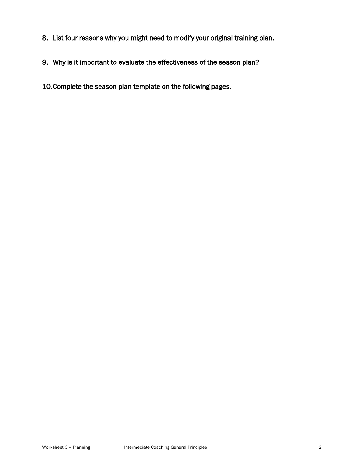- 8. List four reasons why you might need to modify your original training plan.
- 9. Why is it important to evaluate the effectiveness of the season plan?
- 10.Complete the season plan template on the following pages.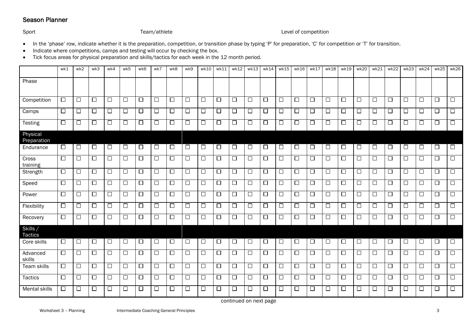## Season Planner

## Sport Sport Competition Channel Team/athlete Channel Channel Level of competition

- In the 'phase' row, indicate whether it is the preparation, competition, or transition phase by typing 'P' for preparation, 'C' for competition or 'T' for transition.
- Indicate where competitions, camps and testing will occur by checking the box.
- Tick focus areas for physical preparation and skills/tactics for each week in the 12 month period.

|                           | wk1    | wk2    | wk3    | wk4    | wk5    | wk6    | wk7    | wk8    | wk9               | wk10   | wk11   | wk12   | wk13   | wk14   | wk15   | wk16   | wk17   | wk18   | wk19   | wk20   | wk21   | wk22   | wk23   | wk24   | wk25   | wk26   |
|---------------------------|--------|--------|--------|--------|--------|--------|--------|--------|-------------------|--------|--------|--------|--------|--------|--------|--------|--------|--------|--------|--------|--------|--------|--------|--------|--------|--------|
| Phase                     |        |        |        |        |        |        |        |        |                   |        |        |        |        |        |        |        |        |        |        |        |        |        |        |        |        |        |
| Competition               | $\Box$ | $\Box$ | $\Box$ | $\Box$ | $\Box$ | $\Box$ | $\Box$ | $\Box$ | $\Box$            | $\Box$ | $\Box$ | $\Box$ | $\Box$ | $\Box$ | $\Box$ | $\Box$ | $\Box$ | $\Box$ | $\Box$ | □      | $\Box$ | $\Box$ | $\Box$ | $\Box$ | $\Box$ | $\Box$ |
| Camps                     | $\Box$ | $\Box$ | $\Box$ | $\Box$ | $\Box$ | $\Box$ | $\Box$ | $\Box$ | $\Box$            | $\Box$ | $\Box$ | $\Box$ | □      | $\Box$ | □      | □      | $\Box$ | $\Box$ | $\Box$ | □      | $\Box$ | $\Box$ | □      | $\Box$ | $\Box$ | □      |
| Testing                   | $\Box$ | □      | $\Box$ | $\Box$ | $\Box$ | $\Box$ | $\Box$ | $\Box$ | $\Box$            | □      | $\Box$ | $\Box$ | $\Box$ | □      | $\Box$ | □      | $\Box$ | □      | $\Box$ | $\Box$ | $\Box$ | $\Box$ | $\Box$ | $\Box$ | $\Box$ | $\Box$ |
| Physical<br>Preparation   |        |        |        |        |        |        |        |        |                   |        |        |        |        |        |        |        |        |        |        |        |        |        |        |        |        |        |
| Endurance                 | ப      | $\Box$ | $\Box$ | $\Box$ | □      | $\Box$ | □      | $\Box$ | $\Box$            | □      | $\Box$ | $\Box$ | □      | □      | $\Box$ | □      | □      | □      | $\Box$ | □      | $\Box$ | □      | $\Box$ | $\Box$ | $\Box$ | $\Box$ |
| Cross<br>training         | $\Box$ | □      | $\Box$ | $\Box$ | □      | $\Box$ | □      | □      | $\Box$            | □      | $\Box$ | □      | $\Box$ | $\Box$ | $\Box$ | □      | $\Box$ | □      | $\Box$ | □      | $\Box$ | $\Box$ | $\Box$ | $\Box$ | $\Box$ | □      |
| Strength                  | $\Box$ | $\Box$ | $\Box$ | $\Box$ | $\Box$ | $\Box$ | $\Box$ | $\Box$ | $\Box$            | $\Box$ | $\Box$ | $\Box$ | $\Box$ | $\Box$ | $\Box$ | $\Box$ | $\Box$ | $\Box$ | $\Box$ | $\Box$ | $\Box$ | $\Box$ | $\Box$ | $\Box$ | $\Box$ | $\Box$ |
| Speed                     | $\Box$ | $\Box$ | $\Box$ | $\Box$ | $\Box$ | $\Box$ | $\Box$ | $\Box$ | $\overline{\Box}$ | $\Box$ | $\Box$ | $\Box$ | $\Box$ | $\Box$ | $\Box$ | $\Box$ | $\Box$ | □      | $\Box$ | $\Box$ | $\Box$ | $\Box$ | $\Box$ | $\Box$ | $\Box$ | $\Box$ |
| Power                     | $\Box$ | $\Box$ | $\Box$ | $\Box$ | $\Box$ | $\Box$ | $\Box$ | $\Box$ | $\Box$            | $\Box$ | $\Box$ | $\Box$ | □      | □      | $\Box$ | □      | $\Box$ | $\Box$ | $\Box$ | □      | $\Box$ | $\Box$ | $\Box$ | $\Box$ | $\Box$ | $\Box$ |
| Flexibility               | $\Box$ | $\Box$ | $\Box$ | $\Box$ | $\Box$ | $\Box$ | $\Box$ | $\Box$ | $\Box$            | $\Box$ | $\Box$ | $\Box$ | $\Box$ | $\Box$ | $\Box$ | $\Box$ | $\Box$ | $\Box$ | $\Box$ | $\Box$ | $\Box$ | $\Box$ | $\Box$ | $\Box$ | $\Box$ | $\Box$ |
| Recovery                  | $\Box$ | $\Box$ | $\Box$ | $\Box$ | $\Box$ | $\Box$ | $\Box$ | $\Box$ | $\overline{\Box}$ | $\Box$ | $\Box$ | $\Box$ | $\Box$ | $\Box$ | $\Box$ | $\Box$ | $\Box$ | □      | $\Box$ | □      | $\Box$ | $\Box$ | $\Box$ | $\Box$ | $\Box$ | $\Box$ |
| Skills/<br><b>Tactics</b> |        |        |        |        |        |        |        |        |                   |        |        |        |        |        |        |        |        |        |        |        |        |        |        |        |        |        |
| Core skills               | □      | □      | □      | □      | □      | $\Box$ | □      | □      | □                 | □      | □      | □      | □      | □      | $\Box$ | □      | □      | □      | □      | □      | $\Box$ | □      | $\Box$ | $\Box$ | $\Box$ | $\Box$ |
| Advanced<br>skills        | $\Box$ | $\Box$ | $\Box$ | $\Box$ | $\Box$ | $\Box$ | $\Box$ | $\Box$ | $\Box$            | $\Box$ | $\Box$ | $\Box$ | $\Box$ | $\Box$ | $\Box$ | $\Box$ | $\Box$ | $\Box$ | $\Box$ | $\Box$ | $\Box$ | $\Box$ | $\Box$ | $\Box$ | $\Box$ | $\Box$ |
| Team skills               | $\Box$ | $\Box$ | □      | $\Box$ | $\Box$ | $\Box$ | $\Box$ | $\Box$ | $\Box$            | □      | $\Box$ | $\Box$ | □      | $\Box$ | $\Box$ | □      | $\Box$ | □      | $\Box$ | □      | $\Box$ | $\Box$ | $\Box$ | $\Box$ | $\Box$ | □      |
| <b>Tactics</b>            | $\Box$ | $\Box$ | $\Box$ | $\Box$ | $\Box$ | $\Box$ | $\Box$ | $\Box$ | $\Box$            | $\Box$ | $\Box$ | $\Box$ | $\Box$ | $\Box$ | $\Box$ | $\Box$ | $\Box$ | $\Box$ | $\Box$ | $\Box$ | $\Box$ | $\Box$ | $\Box$ | $\Box$ | $\Box$ | $\Box$ |
| Mental skills             | □      | $\Box$ | □      | $\Box$ | $\Box$ | $\Box$ | $\Box$ | □      | $\Box$            | □      | □      | $\Box$ | $\Box$ | □      | □      | □      | $\Box$ | □      | $\Box$ | □      | $\Box$ | $\Box$ | □      | $\Box$ | $\Box$ | $\Box$ |

continued on next page